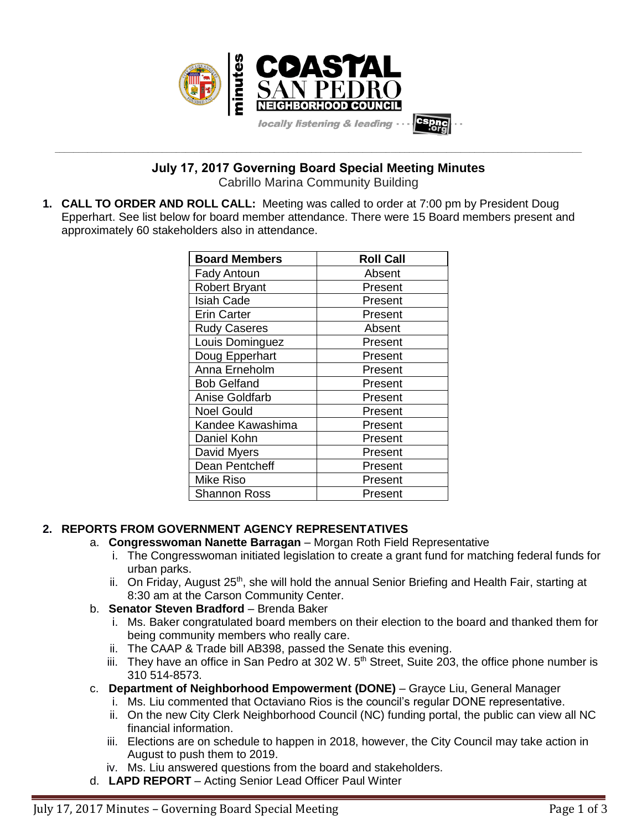

**\_\_\_\_\_\_\_\_\_\_\_\_\_\_\_\_\_\_\_\_\_\_\_\_\_\_\_\_\_\_\_\_\_\_\_\_\_\_\_\_\_\_\_\_\_\_\_\_\_\_\_\_\_\_\_\_\_\_\_\_\_\_\_\_\_\_\_\_\_\_\_\_\_\_\_\_\_\_\_\_\_\_\_\_\_\_\_\_\_\_\_\_\_\_\_\_\_\_\_\_\_\_\_\_\_\_\_\_\_\_\_\_\_ July 17, 2017 Governing Board Special Meeting Minutes**

Cabrillo Marina Community Building

**1. CALL TO ORDER AND ROLL CALL:** Meeting was called to order at 7:00 pm by President Doug Epperhart. See list below for board member attendance. There were 15 Board members present and approximately 60 stakeholders also in attendance.

| <b>Board Members</b> | <b>Roll Call</b> |
|----------------------|------------------|
| <b>Fady Antoun</b>   | Absent           |
| <b>Robert Bryant</b> | Present          |
| <b>Isiah Cade</b>    | Present          |
| <b>Erin Carter</b>   | Present          |
| <b>Rudy Caseres</b>  | Absent           |
| Louis Dominguez      | Present          |
| Doug Epperhart       | Present          |
| Anna Erneholm        | Present          |
| <b>Bob Gelfand</b>   | Present          |
| Anise Goldfarb       | Present          |
| <b>Noel Gould</b>    | Present          |
| Kandee Kawashima     | Present          |
| Daniel Kohn          | Present          |
| David Myers          | Present          |
| Dean Pentcheff       | Present          |
| <b>Mike Riso</b>     | Present          |
| <b>Shannon Ross</b>  | Present          |

# **2. REPORTS FROM GOVERNMENT AGENCY REPRESENTATIVES**

- a. **Congresswoman Nanette Barragan** Morgan Roth Field Representative
	- i. The Congresswoman initiated legislation to create a grant fund for matching federal funds for urban parks.
	- ii. On Friday, August  $25<sup>th</sup>$ , she will hold the annual Senior Briefing and Health Fair, starting at 8:30 am at the Carson Community Center.
- b. **Senator Steven Bradford** Brenda Baker
	- i. Ms. Baker congratulated board members on their election to the board and thanked them for being community members who really care.
	- ii. The CAAP & Trade bill AB398, passed the Senate this evening.
	- iii. They have an office in San Pedro at 302 W.  $5<sup>th</sup>$  Street, Suite 203, the office phone number is 310 514-8573.
- c. **Department of Neighborhood Empowerment (DONE)** Grayce Liu, General Manager
	- i. Ms. Liu commented that Octaviano Rios is the council's regular DONE representative.
	- ii. On the new City Clerk Neighborhood Council (NC) funding portal, the public can view all NC financial information.
	- iii. Elections are on schedule to happen in 2018, however, the City Council may take action in August to push them to 2019.
	- iv. Ms. Liu answered questions from the board and stakeholders.
- d. **LAPD REPORT** Acting Senior Lead Officer Paul Winter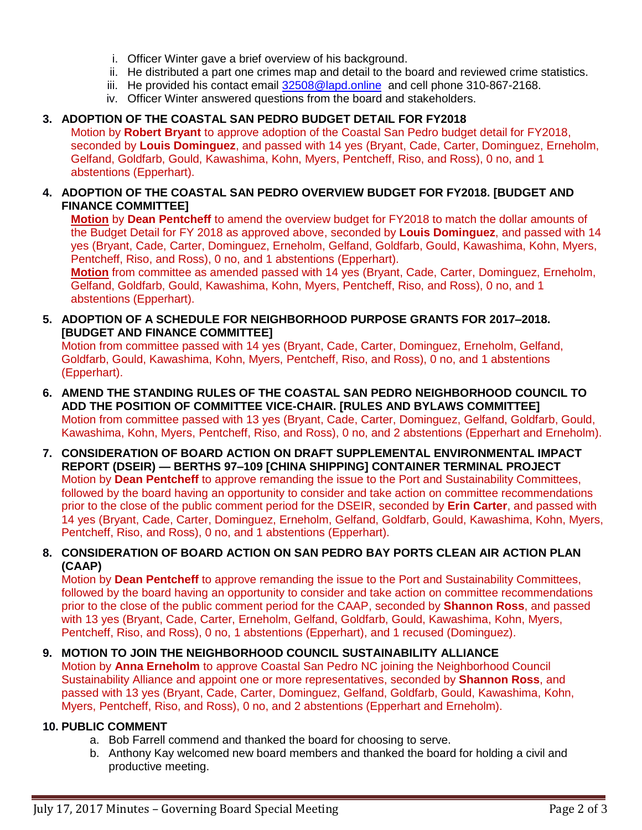- i. Officer Winter gave a brief overview of his background.
- ii. He distributed a part one crimes map and detail to the board and reviewed crime statistics.
- iii. He provided his contact email [32508@lapd.online](mailto:32508@lapd.online) and cell phone 310-867-2168.
- iv. Officer Winter answered questions from the board and stakeholders.

#### **3. ADOPTION OF THE COASTAL SAN PEDRO BUDGET DETAIL FOR FY2018**

Motion by **Robert Bryant** to approve adoption of the Coastal San Pedro budget detail for FY2018, seconded by **Louis Dominguez**, and passed with 14 yes (Bryant, Cade, Carter, Dominguez, Erneholm, Gelfand, Goldfarb, Gould, Kawashima, Kohn, Myers, Pentcheff, Riso, and Ross), 0 no, and 1 abstentions (Epperhart).

#### **4. ADOPTION OF THE COASTAL SAN PEDRO OVERVIEW BUDGET FOR FY2018. [BUDGET AND FINANCE COMMITTEE]**

**Motion** by **Dean Pentcheff** to amend the overview budget for FY2018 to match the dollar amounts of the Budget Detail for FY 2018 as approved above, seconded by **Louis Dominguez**, and passed with 14 yes (Bryant, Cade, Carter, Dominguez, Erneholm, Gelfand, Goldfarb, Gould, Kawashima, Kohn, Myers, Pentcheff, Riso, and Ross), 0 no, and 1 abstentions (Epperhart).

**Motion** from committee as amended passed with 14 yes (Bryant, Cade, Carter, Dominguez, Erneholm, Gelfand, Goldfarb, Gould, Kawashima, Kohn, Myers, Pentcheff, Riso, and Ross), 0 no, and 1 abstentions (Epperhart).

**5. ADOPTION OF A SCHEDULE FOR NEIGHBORHOOD PURPOSE GRANTS FOR 2017–2018. [BUDGET AND FINANCE COMMITTEE]**

Motion from committee passed with 14 yes (Bryant, Cade, Carter, Dominguez, Erneholm, Gelfand, Goldfarb, Gould, Kawashima, Kohn, Myers, Pentcheff, Riso, and Ross), 0 no, and 1 abstentions (Epperhart).

- **6. AMEND THE STANDING RULES OF THE COASTAL SAN PEDRO NEIGHBORHOOD COUNCIL TO ADD THE POSITION OF COMMITTEE VICE-CHAIR. [RULES AND BYLAWS COMMITTEE]** Motion from committee passed with 13 yes (Bryant, Cade, Carter, Dominguez, Gelfand, Goldfarb, Gould, Kawashima, Kohn, Myers, Pentcheff, Riso, and Ross), 0 no, and 2 abstentions (Epperhart and Erneholm).
- **7. CONSIDERATION OF BOARD ACTION ON DRAFT SUPPLEMENTAL ENVIRONMENTAL IMPACT REPORT (DSEIR) — BERTHS 97–109 [CHINA SHIPPING] CONTAINER TERMINAL PROJECT** Motion by **Dean Pentcheff** to approve remanding the issue to the Port and Sustainability Committees, followed by the board having an opportunity to consider and take action on committee recommendations prior to the close of the public comment period for the DSEIR, seconded by **Erin Carter**, and passed with 14 yes (Bryant, Cade, Carter, Dominguez, Erneholm, Gelfand, Goldfarb, Gould, Kawashima, Kohn, Myers, Pentcheff, Riso, and Ross), 0 no, and 1 abstentions (Epperhart).

## **8. CONSIDERATION OF BOARD ACTION ON SAN PEDRO BAY PORTS CLEAN AIR ACTION PLAN (CAAP)**

Motion by **Dean Pentcheff** to approve remanding the issue to the Port and Sustainability Committees, followed by the board having an opportunity to consider and take action on committee recommendations prior to the close of the public comment period for the CAAP, seconded by **Shannon Ross**, and passed with 13 yes (Bryant, Cade, Carter, Erneholm, Gelfand, Goldfarb, Gould, Kawashima, Kohn, Myers, Pentcheff, Riso, and Ross), 0 no, 1 abstentions (Epperhart), and 1 recused (Dominguez).

## **9. MOTION TO JOIN THE NEIGHBORHOOD COUNCIL SUSTAINABILITY ALLIANCE**

Motion by **Anna Erneholm** to approve Coastal San Pedro NC joining the Neighborhood Council Sustainability Alliance and appoint one or more representatives, seconded by **Shannon Ross**, and passed with 13 yes (Bryant, Cade, Carter, Dominguez, Gelfand, Goldfarb, Gould, Kawashima, Kohn, Myers, Pentcheff, Riso, and Ross), 0 no, and 2 abstentions (Epperhart and Erneholm).

### **10. PUBLIC COMMENT**

- a. Bob Farrell commend and thanked the board for choosing to serve.
- b. Anthony Kay welcomed new board members and thanked the board for holding a civil and productive meeting.